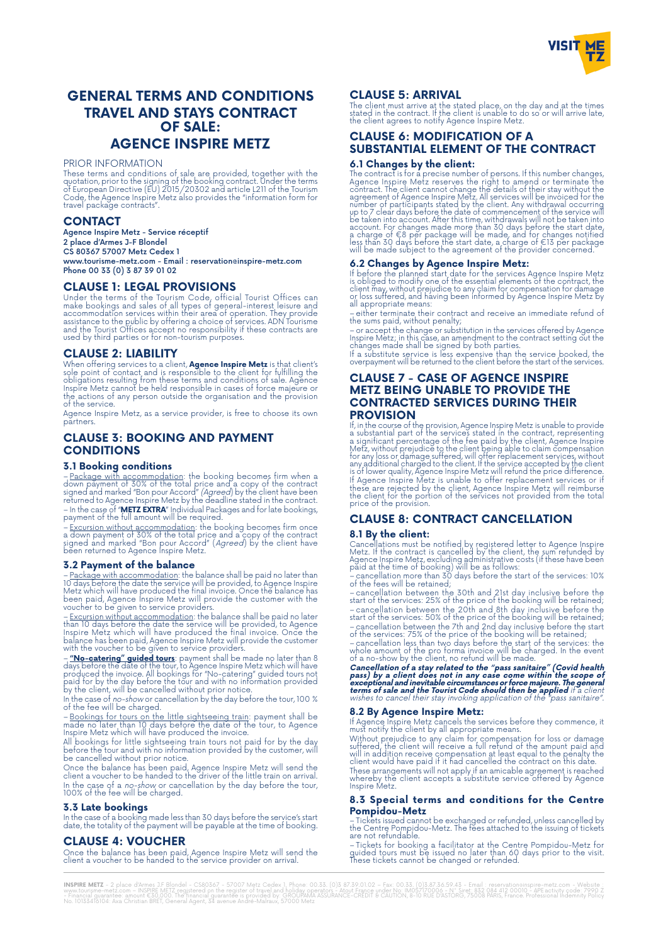

# **GENERAL TERMS AND CONDITIONS TRAVEL AND STAYS CONTRACT OF SALE: AGENCE INSPIRE METZ**

#### PRIOR INFORMATION

These terms and conditions of sale are provided, together with the<br>quotation, prior to the signing of the booking contract. Under the terms<br>of European Directive (EU) 2015/20302 and article L211 of the Tourism<br>Code, the Ag

### **CONTACT**

Agence Inspire Metz - Service réceptif 2 place d'Armes J-F Blondel CS 80367 57007 Metz Cedex 1 www.tourisme-metz.com - Email : reservation@inspire-metz.com Phone 00 33 (0) 3 87 39 01 02

# **CLAUSE 1: LEGAL PROVISIONS**

Under the terms of the Tourism Code, official Tourist Offices can<br>make bookings and sales of all types of general-interest leisure and<br>accommodation services within their area of operation. They provide<br>assistance to the p

#### **CLAUSE 2: LIABILITY**

When offering services to a client**, Agence Inspire Metz** is that client's<br>sole point of contact and is responsible to the client for fulfilling the<br>obligations resulting from these terms and conditions of sale. Agence<br>Ins the actions of any person outside the organisation and the provision of the service.

Agence Inspire Metz, as a service provider, is free to choose its own partners.

# **CLAUSE 3: BOOKING AND PAYMENT CONDITIONS**

#### **3.1 Booking conditions**

– <u>Package with accommodation</u>: the booking becomes firm when a<br>down payment of 30% of the total price and a copy of the contract<br>signed and marked "Bon pour Accord" (Agreed) by the client have been<br>returned to Agence Insp – In the case of "**METZ EXTRA**" Individual Packages and for late bookings, payment of the full amount will be required.

– <u>Excursion without accommodation</u>: the booking becomes firm once<br>a down payment of 30% of the total price and a copy of the contract<br>signed and marked "Bon pour Accord" (*Agreed*) by the client have<br>been returned to Agen

#### **3.2 Payment of the balance**

– <u>Package with accommodation</u>: the balance shall be paid no later than<br>10 days before the date the service will be provided, to Agence Inspire<br>Metz which will have produced the final invoice. Once the balance has<br>been pai

– <u>Excursion without accommodation</u>: the balance shall be paid no later<br>than 10 days before the date the service will be provided, to Agence<br>Inspire Metz which will have produced the final invoice. Once the<br>balance has bee

 $-\frac{n}{\infty}$  **No-catering" guided tours**: payment shall be made no later than 8 days before the date of the tour, to Agence Inspire Metz which will have produced the inviole. All bookings for "No-catering" guided tours not

of the fee will be charged.

– Bookings for tours on the little sightseeing train: payment shall be made no later than 10 days before the date of the tour, to Agence Inspire Metz which will have produced the invoice.

All bookings for little sightseeing train tours not paid for by the day before the tour and with no information provided by the customer, will be cancelled without prior notice.

Once the balance has been paid, Agence Inspire Metz will send the<br>client a voucher to be handed to the driver of the little train on arrival.<br>In the case of a *no-show* or cancellation by the day before the tour,<br>100% of t

#### **3.3 Late bookings**

In the case of a booking made less than 30 days before the service's start date, the totality of the payment will be payable at the time of booking.

# **CLAUSE 4: VOUCHER**

Once the balance has been paid, Agence Inspire Metz will send the client a voucher to be handed to the service provider on arrival.

# **CLAUSE 5: ARRIVAL**

The client must arrive at the stated place, on the day and at the times<br>stated in the contract. If the client is unable to do so or will arrive late,<br>the client agrees to notify Agence Inspire Metz.

# **CLAUSE 6: MODIFICATION OF A SUBSTANTIAL ELEMENT OF THE CONTRACT**

6.1 Changes by the client:<br>The contract is for a precise number of persons. If this number changes,<br>The contract is for a precise number of persons. If this number changes,<br>Agence Inspire Metz reserves the right to amend

### **6.2 Changes by Agence Inspire Metz:**

It before the planned start date for the services Agence Inspire Metz<br>is obliged to modify one of the essential elements of the contract, the<br>client may, without prejudice to any claim for compensation for damage<br>or loss s all appropriate means:

– either terminate their contract and receive an immediate refund of the sums paid, without penalty;

– or accept the change or substitution in the services offered by Agence Inspire Metz; in this case, an amendment to the contract setting out the changes made shall be signed by both parties.

If a substitute service is less expensive than the service booked, the overpayment will be returned to the client before the start of the services.

# **CLAUSE 7 - CASE OF AGENCE INSPIRE METZ BEING UNABLE TO PROVIDE THE CONTRACTED SERVICES DURING THEIR**

**PROVISION**<br>If, in the course of the provision, Agence Inspire Metz is unable to provide<br>a substantial part of the services stated in the contract, representing<br>a significant percentage of the fee paid by the client, Agenc It Agence Inspire Metz is unable to otter replacement services or it<br>these are rejected by the client, Agence Inspire Metz will reimburse<br>the client for the portion of the services not provided from the total<br>price of the

# **CLAUSE 8: CONTRACT CANCELLATION**

#### **8.1 By the client:**

Cancellations must be notified by registered letter to Agence Inspire<br>Metz. If the contract is cancelled by the client, the sum refunded by<br>Agence Inspire Metz, excluding administrative costs (if these have been<br>paid at th

– cancellation more than 30 days before the start of the services: 10% of the fees will be retained;

– cancellation between the 30th and 21st day inclusive before the start of the services: 25% of the price of the booking will be retained; – cancellation between the 20th and 8th day inclusive before the start of the services: 50% of the price of the booking will be retained; – cancellation between the 7th and 2nd day inclusive before the start of the services: 75% of the price of the booking will be retained;

– cancellation less than two days before the start of the services: the whole amount of the pro forma invoice will be charged. In the event of a no-show by the client, no refund will be made.

Cancellation of a stay related to the "pass sanitaire" (Covid health<br>pass) by a client does not in any case come within the scope of<br>exceptional and inevitable circumstances or force majeure. The general<br>terms of sale and

#### **8.2 By Agence Inspire Metz:**

If Agence Inspire Metz cancels the services before they commence, it must notify the client by all appropriate means.

Without prejudice to any claim for compensation for loss or damage<br>suffered, the client will receive a full refund of the amount paid and<br>will in addition receive compensation at least equal to the penalty the<br>client would

These arrangements will not apply if an amicable agreement is reached whereby the client accepts a substitute service offered by Agence Inspire Metz.

#### **8.3 Special terms and conditions for the Centre Pompidou-Metz**

– Tickets issued cannot be exchanged or refunded, unless cancelled by the Centre Pompidou-Metz. The fees attached to the issuing of tickets are not refundable.

– Tickets for booking a facilitator at the Centre Pompidou-Metz for guided tours must be issued no later than 60 days prior to the visit. These tickets cannot be changed or refunded.

I**NSPIRE METZ -** 2 place d'Armes J.F Blondel - CS80367 - 57007 Metz Cedex 1, Phone: 00.33. (0)3 87.39.01.02 – Fax: 00.33.1.03587.8.59.43 - Email : reservationainspire-metz.com – INSPIRE METZ registred on the register of tr